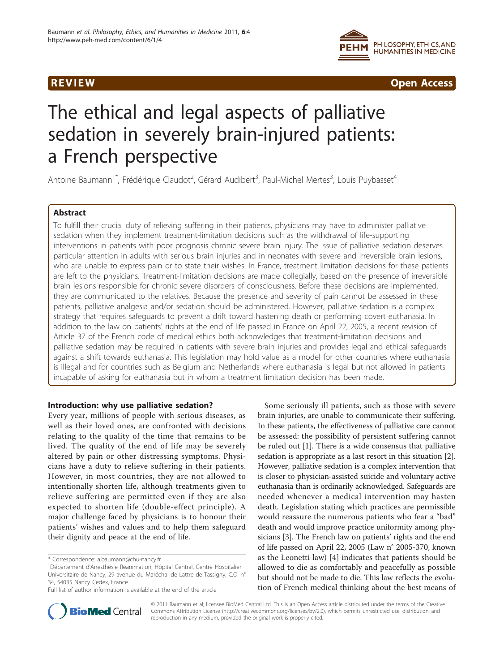



R EVI EW Open Access

# The ethical and legal aspects of palliative sedation in severely brain-injured patients: a French perspective

Antoine Baumann<sup>1\*</sup>, Frédérique Claudot<sup>2</sup>, Gérard Audibert<sup>3</sup>, Paul-Michel Mertes<sup>3</sup>, Louis Puybasset<sup>4</sup>

# Abstract

To fulfill their crucial duty of relieving suffering in their patients, physicians may have to administer palliative sedation when they implement treatment-limitation decisions such as the withdrawal of life-supporting interventions in patients with poor prognosis chronic severe brain injury. The issue of palliative sedation deserves particular attention in adults with serious brain injuries and in neonates with severe and irreversible brain lesions, who are unable to express pain or to state their wishes. In France, treatment limitation decisions for these patients are left to the physicians. Treatment-limitation decisions are made collegially, based on the presence of irreversible brain lesions responsible for chronic severe disorders of consciousness. Before these decisions are implemented, they are communicated to the relatives. Because the presence and severity of pain cannot be assessed in these patients, palliative analgesia and/or sedation should be administered. However, palliative sedation is a complex strategy that requires safeguards to prevent a drift toward hastening death or performing covert euthanasia. In addition to the law on patients' rights at the end of life passed in France on April 22, 2005, a recent revision of Article 37 of the French code of medical ethics both acknowledges that treatment-limitation decisions and palliative sedation may be required in patients with severe brain injuries and provides legal and ethical safeguards against a shift towards euthanasia. This legislation may hold value as a model for other countries where euthanasia is illegal and for countries such as Belgium and Netherlands where euthanasia is legal but not allowed in patients incapable of asking for euthanasia but in whom a treatment limitation decision has been made.

# Introduction: why use palliative sedation?

Every year, millions of people with serious diseases, as well as their loved ones, are confronted with decisions relating to the quality of the time that remains to be lived. The quality of the end of life may be severely altered by pain or other distressing symptoms. Physicians have a duty to relieve suffering in their patients. However, in most countries, they are not allowed to intentionally shorten life, although treatments given to relieve suffering are permitted even if they are also expected to shorten life (double-effect principle). A major challenge faced by physicians is to honour their patients' wishes and values and to help them safeguard their dignity and peace at the end of life.

Some seriously ill patients, such as those with severe brain injuries, are unable to communicate their suffering. In these patients, the effectiveness of palliative care cannot be assessed: the possibility of persistent suffering cannot be ruled out [[1\]](#page-5-0). There is a wide consensus that palliative sedation is appropriate as a last resort in this situation [\[2](#page-5-0)]. However, palliative sedation is a complex intervention that is closer to physician-assisted suicide and voluntary active euthanasia than is ordinarily acknowledged. Safeguards are needed whenever a medical intervention may hasten death. Legislation stating which practices are permissible would reassure the numerous patients who fear a "bad" death and would improve practice uniformity among physicians [\[3\]](#page-5-0). The French law on patients' rights and the end of life passed on April 22, 2005 (Law n° 2005-370, known as the Leonetti law) [[4\]](#page-5-0) indicates that patients should be allowed to die as comfortably and peacefully as possible but should not be made to die. This law reflects the evolution of French medical thinking about the best means of



© 2011 Baumann et al; licensee BioMed Central Ltd. This is an Open Access article distributed under the terms of the Creative Commons Attribution License [\(http://creativecommons.org/licenses/by/2.0](http://creativecommons.org/licenses/by/2.0)), which permits unrestricted use, distribution, and reproduction in any medium, provided the original work is properly cited.

<sup>\*</sup> Correspondence: [a.baumann@chu-nancy.fr](mailto:a.baumann@chu-nancy.fr)

<sup>1</sup>Département d'Anesthésie Réanimation, Hôpital Central, Centre Hospitalier Universitaire de Nancy, 29 avenue du Maréchal de Lattre de Tassigny, C.O. n° 34, 54035 Nancy Cedex, France

Full list of author information is available at the end of the article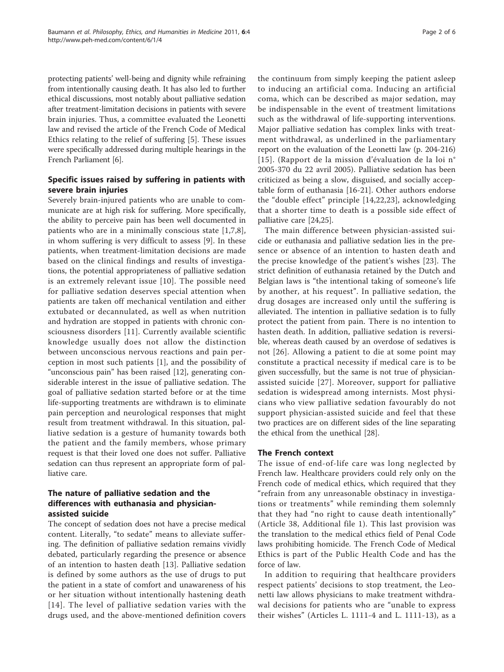protecting patients' well-being and dignity while refraining from intentionally causing death. It has also led to further ethical discussions, most notably about palliative sedation after treatment-limitation decisions in patients with severe brain injuries. Thus, a committee evaluated the Leonetti law and revised the article of the French Code of Medical Ethics relating to the relief of suffering [[5](#page-5-0)]. These issues were specifically addressed during multiple hearings in the French Parliament [[6\]](#page-5-0).

# Specific issues raised by suffering in patients with severe brain injuries

Severely brain-injured patients who are unable to communicate are at high risk for suffering. More specifically, the ability to perceive pain has been well documented in patients who are in a minimally conscious state [[1,7,8](#page-5-0)], in whom suffering is very difficult to assess [[9\]](#page-5-0). In these patients, when treatment-limitation decisions are made based on the clinical findings and results of investigations, the potential appropriateness of palliative sedation is an extremely relevant issue [\[10\]](#page-5-0). The possible need for palliative sedation deserves special attention when patients are taken off mechanical ventilation and either extubated or decannulated, as well as when nutrition and hydration are stopped in patients with chronic consciousness disorders [[11\]](#page-5-0). Currently available scientific knowledge usually does not allow the distinction between unconscious nervous reactions and pain perception in most such patients [\[1](#page-5-0)], and the possibility of "unconscious pain" has been raised [[12\]](#page-5-0), generating considerable interest in the issue of palliative sedation. The goal of palliative sedation started before or at the time life-supporting treatments are withdrawn is to eliminate pain perception and neurological responses that might result from treatment withdrawal. In this situation, palliative sedation is a gesture of humanity towards both the patient and the family members, whose primary request is that their loved one does not suffer. Palliative sedation can thus represent an appropriate form of palliative care.

# The nature of palliative sedation and the differences with euthanasia and physicianassisted suicide

The concept of sedation does not have a precise medical content. Literally, "to sedate" means to alleviate suffering. The definition of palliative sedation remains vividly debated, particularly regarding the presence or absence of an intention to hasten death [[13\]](#page-5-0). Palliative sedation is defined by some authors as the use of drugs to put the patient in a state of comfort and unawareness of his or her situation without intentionally hastening death [[14\]](#page-5-0). The level of palliative sedation varies with the drugs used, and the above-mentioned definition covers

the continuum from simply keeping the patient asleep to inducing an artificial coma. Inducing an artificial coma, which can be described as major sedation, may be indispensable in the event of treatment limitations such as the withdrawal of life-supporting interventions. Major palliative sedation has complex links with treatment withdrawal, as underlined in the parliamentary report on the evaluation of the Leonetti law (p. 204-216) [[15\]](#page-5-0). (Rapport de la mission d'évaluation de la loi n° 2005-370 du 22 avril 2005). Palliative sedation has been criticized as being a slow, disguised, and socially acceptable form of euthanasia [\[16](#page-5-0)-[21\]](#page-5-0). Other authors endorse the "double effect" principle [[14,22,23\]](#page-5-0), acknowledging that a shorter time to death is a possible side effect of palliative care [\[24,25\]](#page-5-0).

The main difference between physician-assisted suicide or euthanasia and palliative sedation lies in the presence or absence of an intention to hasten death and the precise knowledge of the patient's wishes [[23](#page-5-0)]. The strict definition of euthanasia retained by the Dutch and Belgian laws is "the intentional taking of someone's life by another, at his request". In palliative sedation, the drug dosages are increased only until the suffering is alleviated. The intention in palliative sedation is to fully protect the patient from pain. There is no intention to hasten death. In addition, palliative sedation is reversible, whereas death caused by an overdose of sedatives is not [[26](#page-5-0)]. Allowing a patient to die at some point may constitute a practical necessity if medical care is to be given successfully, but the same is not true of physicianassisted suicide [[27](#page-5-0)]. Moreover, support for palliative sedation is widespread among internists. Most physicians who view palliative sedation favourably do not support physician-assisted suicide and feel that these two practices are on different sides of the line separating the ethical from the unethical [\[28](#page-5-0)].

## The French context

The issue of end-of-life care was long neglected by French law. Healthcare providers could rely only on the French code of medical ethics, which required that they "refrain from any unreasonable obstinacy in investigations or treatments" while reminding them solemnly that they had "no right to cause death intentionally" (Article 38, Additional file [1\)](#page-4-0). This last provision was the translation to the medical ethics field of Penal Code laws prohibiting homicide. The French Code of Medical Ethics is part of the Public Health Code and has the force of law.

In addition to requiring that healthcare providers respect patients' decisions to stop treatment, the Leonetti law allows physicians to make treatment withdrawal decisions for patients who are "unable to express their wishes" (Articles L. 1111-4 and L. 1111-13), as a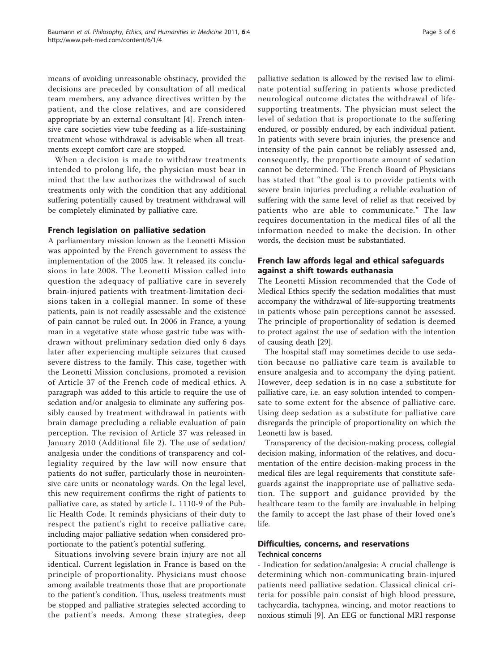means of avoiding unreasonable obstinacy, provided the decisions are preceded by consultation of all medical team members, any advance directives written by the patient, and the close relatives, and are considered appropriate by an external consultant [\[4\]](#page-5-0). French intensive care societies view tube feeding as a life-sustaining treatment whose withdrawal is advisable when all treatments except comfort care are stopped.

When a decision is made to withdraw treatments intended to prolong life, the physician must bear in mind that the law authorizes the withdrawal of such treatments only with the condition that any additional suffering potentially caused by treatment withdrawal will be completely eliminated by palliative care.

## French legislation on palliative sedation

A parliamentary mission known as the Leonetti Mission was appointed by the French government to assess the implementation of the 2005 law. It released its conclusions in late 2008. The Leonetti Mission called into question the adequacy of palliative care in severely brain-injured patients with treatment-limitation decisions taken in a collegial manner. In some of these patients, pain is not readily assessable and the existence of pain cannot be ruled out. In 2006 in France, a young man in a vegetative state whose gastric tube was withdrawn without preliminary sedation died only 6 days later after experiencing multiple seizures that caused severe distress to the family. This case, together with the Leonetti Mission conclusions, promoted a revision of Article 37 of the French code of medical ethics. A paragraph was added to this article to require the use of sedation and/or analgesia to eliminate any suffering possibly caused by treatment withdrawal in patients with brain damage precluding a reliable evaluation of pain perception. The revision of Article 37 was released in January 2010 (Additional file [2](#page-4-0)). The use of sedation/ analgesia under the conditions of transparency and collegiality required by the law will now ensure that patients do not suffer, particularly those in neurointensive care units or neonatology wards. On the legal level, this new requirement confirms the right of patients to palliative care, as stated by article L. 1110-9 of the Public Health Code. It reminds physicians of their duty to respect the patient's right to receive palliative care, including major palliative sedation when considered proportionate to the patient's potential suffering.

Situations involving severe brain injury are not all identical. Current legislation in France is based on the principle of proportionality. Physicians must choose among available treatments those that are proportionate to the patient's condition. Thus, useless treatments must be stopped and palliative strategies selected according to the patient's needs. Among these strategies, deep

palliative sedation is allowed by the revised law to eliminate potential suffering in patients whose predicted neurological outcome dictates the withdrawal of lifesupporting treatments. The physician must select the level of sedation that is proportionate to the suffering endured, or possibly endured, by each individual patient. In patients with severe brain injuries, the presence and intensity of the pain cannot be reliably assessed and, consequently, the proportionate amount of sedation cannot be determined. The French Board of Physicians has stated that "the goal is to provide patients with severe brain injuries precluding a reliable evaluation of suffering with the same level of relief as that received by patients who are able to communicate." The law requires documentation in the medical files of all the information needed to make the decision. In other words, the decision must be substantiated.

# French law affords legal and ethical safeguards against a shift towards euthanasia

The Leonetti Mission recommended that the Code of Medical Ethics specify the sedation modalities that must accompany the withdrawal of life-supporting treatments in patients whose pain perceptions cannot be assessed. The principle of proportionality of sedation is deemed to protect against the use of sedation with the intention of causing death [\[29](#page-5-0)].

The hospital staff may sometimes decide to use sedation because no palliative care team is available to ensure analgesia and to accompany the dying patient. However, deep sedation is in no case a substitute for palliative care, i.e. an easy solution intended to compensate to some extent for the absence of palliative care. Using deep sedation as a substitute for palliative care disregards the principle of proportionality on which the Leonetti law is based.

Transparency of the decision-making process, collegial decision making, information of the relatives, and documentation of the entire decision-making process in the medical files are legal requirements that constitute safeguards against the inappropriate use of palliative sedation. The support and guidance provided by the healthcare team to the family are invaluable in helping the family to accept the last phase of their loved one's life.

## Difficulties, concerns, and reservations Technical concerns

- Indication for sedation/analgesia: A crucial challenge is determining which non-communicating brain-injured patients need palliative sedation. Classical clinical criteria for possible pain consist of high blood pressure, tachycardia, tachypnea, wincing, and motor reactions to noxious stimuli [\[9](#page-5-0)]. An EEG or functional MRI response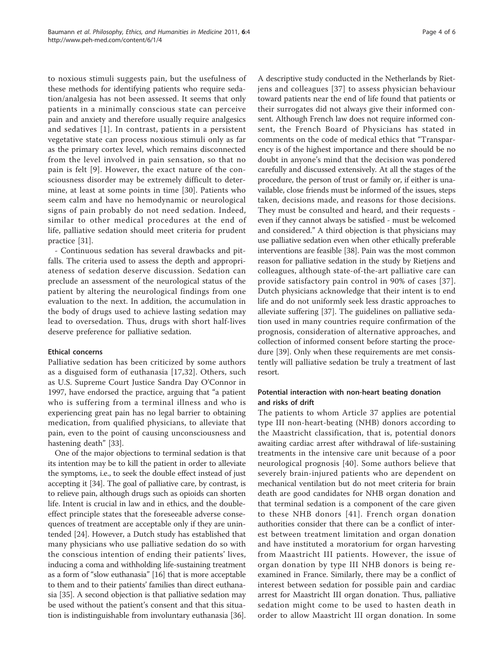to noxious stimuli suggests pain, but the usefulness of these methods for identifying patients who require sedation/analgesia has not been assessed. It seems that only patients in a minimally conscious state can perceive pain and anxiety and therefore usually require analgesics and sedatives [[1\]](#page-5-0). In contrast, patients in a persistent vegetative state can process noxious stimuli only as far as the primary cortex level, which remains disconnected from the level involved in pain sensation, so that no pain is felt [[9\]](#page-5-0). However, the exact nature of the consciousness disorder may be extremely difficult to determine, at least at some points in time [[30](#page-5-0)]. Patients who seem calm and have no hemodynamic or neurological signs of pain probably do not need sedation. Indeed, similar to other medical procedures at the end of life, palliative sedation should meet criteria for prudent practice [\[31\]](#page-5-0).

- Continuous sedation has several drawbacks and pitfalls. The criteria used to assess the depth and appropriateness of sedation deserve discussion. Sedation can preclude an assessment of the neurological status of the patient by altering the neurological findings from one evaluation to the next. In addition, the accumulation in the body of drugs used to achieve lasting sedation may lead to oversedation. Thus, drugs with short half-lives deserve preference for palliative sedation.

### Ethical concerns

Palliative sedation has been criticized by some authors as a disguised form of euthanasia [\[17](#page-5-0),[32\]](#page-5-0). Others, such as U.S. Supreme Court Justice Sandra Day O'Connor in 1997, have endorsed the practice, arguing that "a patient who is suffering from a terminal illness and who is experiencing great pain has no legal barrier to obtaining medication, from qualified physicians, to alleviate that pain, even to the point of causing unconsciousness and hastening death" [\[33\]](#page-5-0).

One of the major objections to terminal sedation is that its intention may be to kill the patient in order to alleviate the symptoms, i.e., to seek the double effect instead of just accepting it [[34](#page-5-0)]. The goal of palliative care, by contrast, is to relieve pain, although drugs such as opioids can shorten life. Intent is crucial in law and in ethics, and the doubleeffect principle states that the foreseeable adverse consequences of treatment are acceptable only if they are unintended [[24](#page-5-0)]. However, a Dutch study has established that many physicians who use palliative sedation do so with the conscious intention of ending their patients' lives, inducing a coma and withholding life-sustaining treatment as a form of "slow euthanasia" [[16](#page-5-0)] that is more acceptable to them and to their patients' families than direct euthanasia [\[35\]](#page-5-0). A second objection is that palliative sedation may be used without the patient's consent and that this situation is indistinguishable from involuntary euthanasia [[36](#page-5-0)]. A descriptive study conducted in the Netherlands by Rietjens and colleagues [[37](#page-5-0)] to assess physician behaviour toward patients near the end of life found that patients or their surrogates did not always give their informed consent. Although French law does not require informed consent, the French Board of Physicians has stated in comments on the code of medical ethics that "Transparency is of the highest importance and there should be no doubt in anyone's mind that the decision was pondered carefully and discussed extensively. At all the stages of the procedure, the person of trust or family or, if either is unavailable, close friends must be informed of the issues, steps taken, decisions made, and reasons for those decisions. They must be consulted and heard, and their requests even if they cannot always be satisfied - must be welcomed and considered." A third objection is that physicians may use palliative sedation even when other ethically preferable interventions are feasible [[38](#page-5-0)]. Pain was the most common reason for palliative sedation in the study by Rietjens and colleagues, although state-of-the-art palliative care can provide satisfactory pain control in 90% of cases [[37\]](#page-5-0). Dutch physicians acknowledge that their intent is to end life and do not uniformly seek less drastic approaches to alleviate suffering [[37\]](#page-5-0). The guidelines on palliative sedation used in many countries require confirmation of the prognosis, consideration of alternative approaches, and collection of informed consent before starting the procedure [\[39](#page-5-0)]. Only when these requirements are met consistently will palliative sedation be truly a treatment of last resort.

## Potential interaction with non-heart beating donation and risks of drift

The patients to whom Article 37 applies are potential type III non-heart-beating (NHB) donors according to the Maastricht classification, that is, potential donors awaiting cardiac arrest after withdrawal of life-sustaining treatments in the intensive care unit because of a poor neurological prognosis [[40](#page-5-0)]. Some authors believe that severely brain-injured patients who are dependent on mechanical ventilation but do not meet criteria for brain death are good candidates for NHB organ donation and that terminal sedation is a component of the care given to these NHB donors [[41\]](#page-5-0). French organ donation authorities consider that there can be a conflict of interest between treatment limitation and organ donation and have instituted a moratorium for organ harvesting from Maastricht III patients. However, the issue of organ donation by type III NHB donors is being reexamined in France. Similarly, there may be a conflict of interest between sedation for possible pain and cardiac arrest for Maastricht III organ donation. Thus, palliative sedation might come to be used to hasten death in order to allow Maastricht III organ donation. In some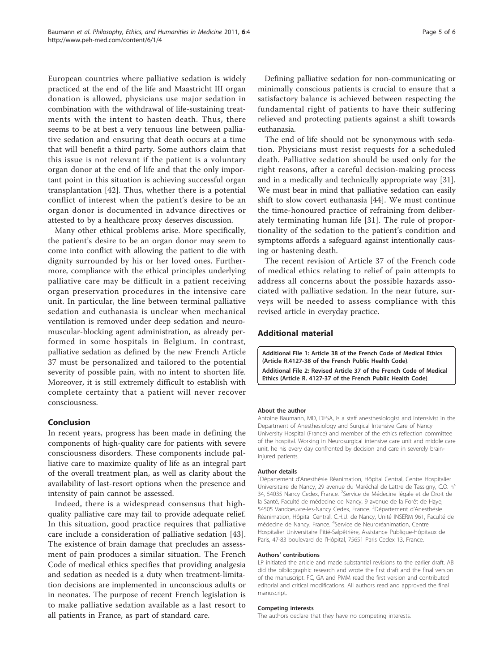<span id="page-4-0"></span>European countries where palliative sedation is widely practiced at the end of the life and Maastricht III organ donation is allowed, physicians use major sedation in combination with the withdrawal of life-sustaining treatments with the intent to hasten death. Thus, there seems to be at best a very tenuous line between palliative sedation and ensuring that death occurs at a time that will benefit a third party. Some authors claim that this issue is not relevant if the patient is a voluntary organ donor at the end of life and that the only important point in this situation is achieving successful organ transplantation [[42](#page-5-0)]. Thus, whether there is a potential conflict of interest when the patient's desire to be an organ donor is documented in advance directives or attested to by a healthcare proxy deserves discussion.

Many other ethical problems arise. More specifically, the patient's desire to be an organ donor may seem to come into conflict with allowing the patient to die with dignity surrounded by his or her loved ones. Furthermore, compliance with the ethical principles underlying palliative care may be difficult in a patient receiving organ preservation procedures in the intensive care unit. In particular, the line between terminal palliative sedation and euthanasia is unclear when mechanical ventilation is removed under deep sedation and neuromuscular-blocking agent administration, as already performed in some hospitals in Belgium. In contrast, palliative sedation as defined by the new French Article 37 must be personalized and tailored to the potential severity of possible pain, with no intent to shorten life. Moreover, it is still extremely difficult to establish with complete certainty that a patient will never recover consciousness.

### Conclusion

In recent years, progress has been made in defining the components of high-quality care for patients with severe consciousness disorders. These components include palliative care to maximize quality of life as an integral part of the overall treatment plan, as well as clarity about the availability of last-resort options when the presence and intensity of pain cannot be assessed.

Indeed, there is a widespread consensus that highquality palliative care may fail to provide adequate relief. In this situation, good practice requires that palliative care include a consideration of palliative sedation [[43](#page-5-0)]. The existence of brain damage that precludes an assessment of pain produces a similar situation. The French Code of medical ethics specifies that providing analgesia and sedation as needed is a duty when treatment-limitation decisions are implemented in unconscious adults or in neonates. The purpose of recent French legislation is to make palliative sedation available as a last resort to all patients in France, as part of standard care.

Defining palliative sedation for non-communicating or minimally conscious patients is crucial to ensure that a satisfactory balance is achieved between respecting the fundamental right of patients to have their suffering relieved and protecting patients against a shift towards euthanasia.

The end of life should not be synonymous with sedation. Physicians must resist requests for a scheduled death. Palliative sedation should be used only for the right reasons, after a careful decision-making process and in a medically and technically appropriate way [\[31](#page-5-0)]. We must bear in mind that palliative sedation can easily shift to slow covert euthanasia [[44\]](#page-5-0). We must continue the time-honoured practice of refraining from deliberately terminating human life [[31](#page-5-0)]. The rule of proportionality of the sedation to the patient's condition and symptoms affords a safeguard against intentionally causing or hastening death.

The recent revision of Article 37 of the French code of medical ethics relating to relief of pain attempts to address all concerns about the possible hazards associated with palliative sedation. In the near future, surveys will be needed to assess compliance with this revised article in everyday practice.

## Additional material

[Additional File 1:](http://www.biomedcentral.com/content/supplementary/1747-5341-6-4-S1.DOC) Article 38 of the French Code of Medical Ethics (Article R.4127-38 of the French Public Health Code).

[Additional File 2:](http://www.biomedcentral.com/content/supplementary/1747-5341-6-4-S2.DOC) Revised Article 37 of the French Code of Medical Ethics (Article R. 4127-37 of the French Public Health Code).

#### About the author

Antoine Baumann, MD, DESA, is a staff anesthesiologist and intensivist in the Department of Anesthesiology and Surgical Intensive Care of Nancy University Hospital (France) and member of the ethics reflection committee of the hospital. Working in Neurosurgical intensive care unit and middle care unit, he his every day confronted by decision and care in severely braininjured patients.

#### Author details

<sup>1</sup>Département d'Anesthésie Réanimation, Hôpital Central, Centre Hospitalier Universitaire de Nancy, 29 avenue du Maréchal de Lattre de Tassigny, C.O. n° 34, 54035 Nancy Cedex, France. <sup>2</sup>Service de Médecine légale et de Droit de la Santé, Faculté de médecine de Nancy, 9 avenue de la Forêt de Haye, 54505 Vandoeuvre-les-Nancy Cedex, France. <sup>3</sup>Département d'Anesthésie Réanimation, Hôpital Central, C.H.U. de Nancy, Unité INSERM 961, Faculté de médecine de Nancy. France. <sup>4</sup> Service de Neuroréanimation, Centre Hospitalier Universitaire Pitié-Salpêtrière, Assistance Publique-Hôpitaux de Paris, 47-83 boulevard de l'Hôpital, 75651 Paris Cedex 13, France.

#### Authors' contributions

LP initiated the article and made substantial revisions to the earlier draft. AB did the bibliographic research and wrote the first draft and the final version of the manuscript. FC, GA and PMM read the first version and contributed editorial and critical modifications. All authors read and approved the final manuscript.

#### Competing interests

The authors declare that they have no competing interests.